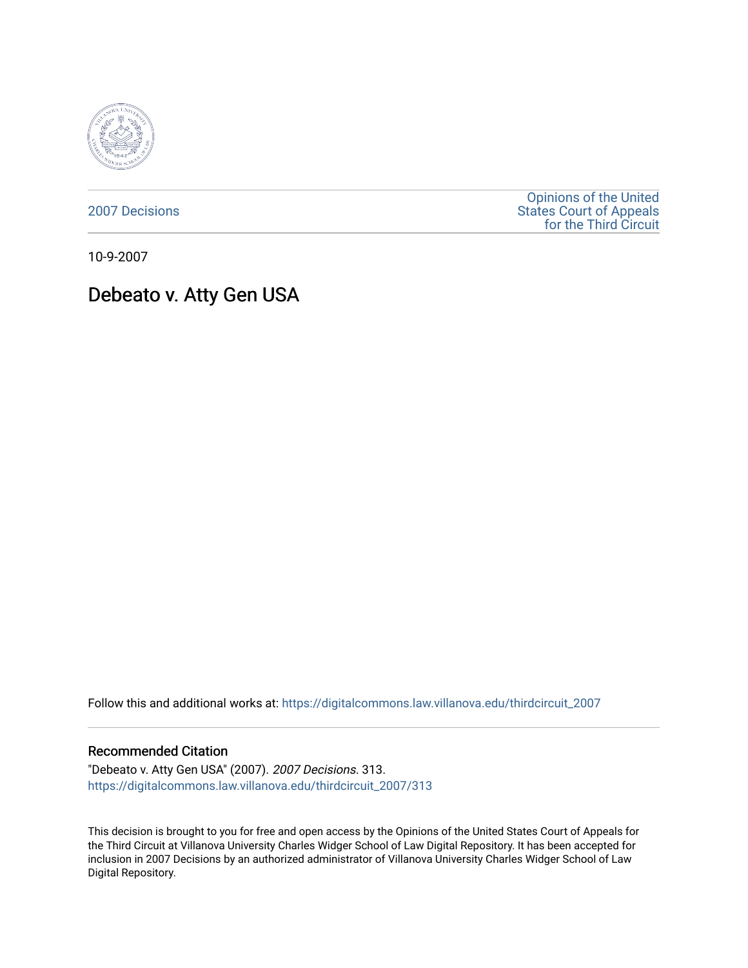

[2007 Decisions](https://digitalcommons.law.villanova.edu/thirdcircuit_2007)

[Opinions of the United](https://digitalcommons.law.villanova.edu/thirdcircuit)  [States Court of Appeals](https://digitalcommons.law.villanova.edu/thirdcircuit)  [for the Third Circuit](https://digitalcommons.law.villanova.edu/thirdcircuit) 

10-9-2007

# Debeato v. Atty Gen USA

Follow this and additional works at: [https://digitalcommons.law.villanova.edu/thirdcircuit\\_2007](https://digitalcommons.law.villanova.edu/thirdcircuit_2007?utm_source=digitalcommons.law.villanova.edu%2Fthirdcircuit_2007%2F313&utm_medium=PDF&utm_campaign=PDFCoverPages) 

#### Recommended Citation

"Debeato v. Atty Gen USA" (2007). 2007 Decisions. 313. [https://digitalcommons.law.villanova.edu/thirdcircuit\\_2007/313](https://digitalcommons.law.villanova.edu/thirdcircuit_2007/313?utm_source=digitalcommons.law.villanova.edu%2Fthirdcircuit_2007%2F313&utm_medium=PDF&utm_campaign=PDFCoverPages)

This decision is brought to you for free and open access by the Opinions of the United States Court of Appeals for the Third Circuit at Villanova University Charles Widger School of Law Digital Repository. It has been accepted for inclusion in 2007 Decisions by an authorized administrator of Villanova University Charles Widger School of Law Digital Repository.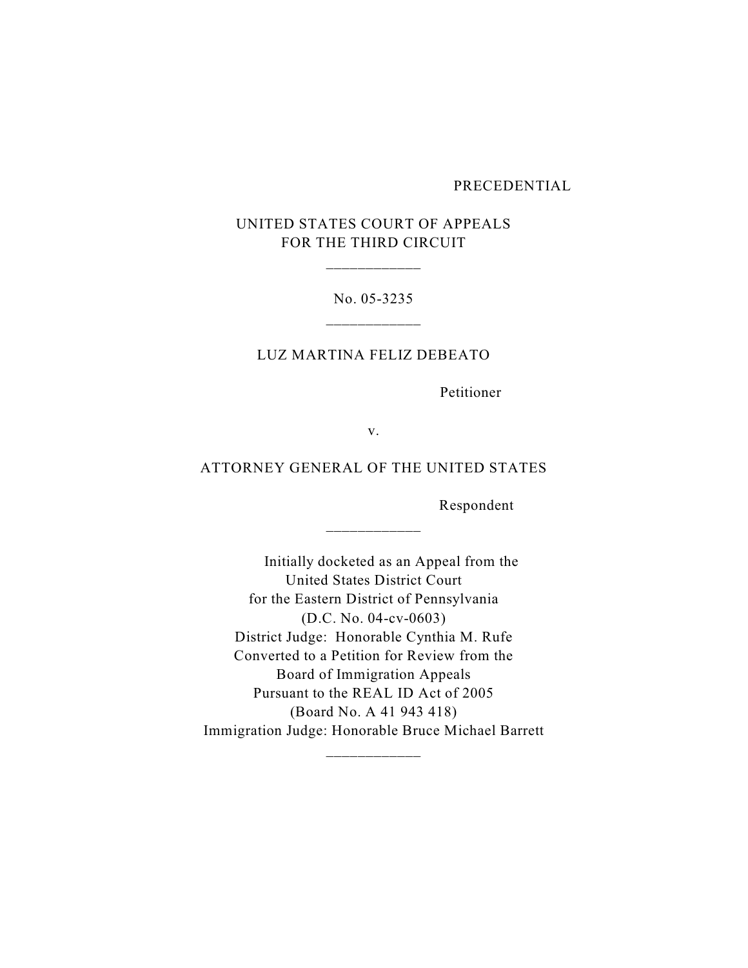#### PRECEDENTIAL

## UNITED STATES COURT OF APPEALS FOR THE THIRD CIRCUIT

\_\_\_\_\_\_\_\_\_\_\_\_

## No. 05-3235

#### LUZ MARTINA FELIZ DEBEATO

Petitioner

v.

## ATTORNEY GENERAL OF THE UNITED STATES

\_\_\_\_\_\_\_\_\_\_\_\_

Respondent

 Initially docketed as an Appeal from the United States District Court for the Eastern District of Pennsylvania (D.C. No. 04-cv-0603) District Judge: Honorable Cynthia M. Rufe Converted to a Petition for Review from the Board of Immigration Appeals Pursuant to the REAL ID Act of 2005 (Board No. A 41 943 418) Immigration Judge: Honorable Bruce Michael Barrett

\_\_\_\_\_\_\_\_\_\_\_\_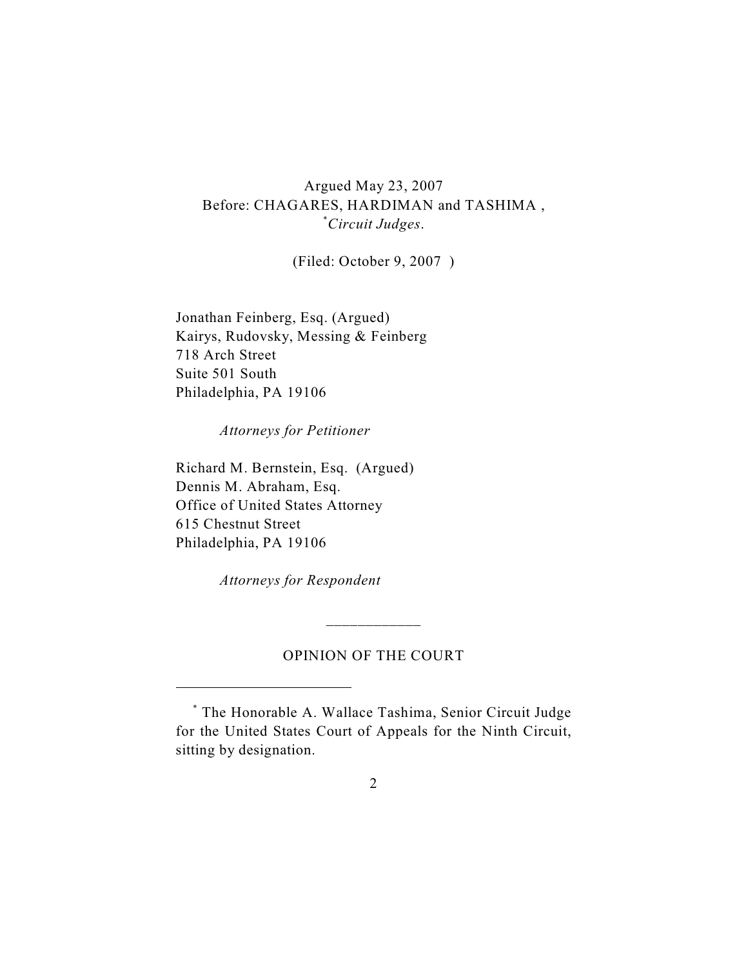Argued May 23, 2007 Before: CHAGARES, HARDIMAN and TASHIMA , *Circuit Judges*. \*

(Filed: October 9, 2007 )

Jonathan Feinberg, Esq. (Argued) Kairys, Rudovsky, Messing & Feinberg 718 Arch Street Suite 501 South Philadelphia, PA 19106

*Attorneys for Petitioner*

Richard M. Bernstein, Esq. (Argued) Dennis M. Abraham, Esq. Office of United States Attorney 615 Chestnut Street Philadelphia, PA 19106

*Attorneys for Respondent*

### OPINION OF THE COURT

\_\_\_\_\_\_\_\_\_\_\_\_

The Honorable A. Wallace Tashima, Senior Circuit Judge \* for the United States Court of Appeals for the Ninth Circuit, sitting by designation.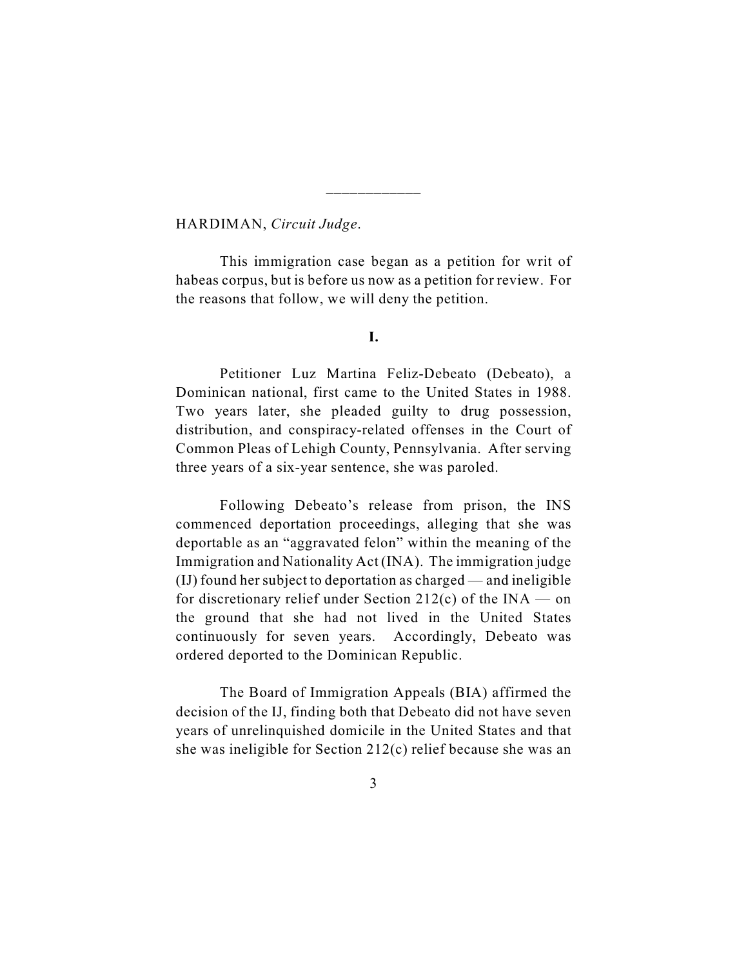HARDIMAN, *Circuit Judge*.

This immigration case began as a petition for writ of habeas corpus, but is before us now as a petition for review. For the reasons that follow, we will deny the petition.

\_\_\_\_\_\_\_\_\_\_\_\_

**I.**

Petitioner Luz Martina Feliz-Debeato (Debeato), a Dominican national, first came to the United States in 1988. Two years later, she pleaded guilty to drug possession, distribution, and conspiracy-related offenses in the Court of Common Pleas of Lehigh County, Pennsylvania. After serving three years of a six-year sentence, she was paroled.

Following Debeato's release from prison, the INS commenced deportation proceedings, alleging that she was deportable as an "aggravated felon" within the meaning of the Immigration and Nationality Act (INA). The immigration judge (IJ) found her subject to deportation as charged — and ineligible for discretionary relief under Section 212(c) of the  $INA$  — on the ground that she had not lived in the United States continuously for seven years. Accordingly, Debeato was ordered deported to the Dominican Republic.

The Board of Immigration Appeals (BIA) affirmed the decision of the IJ, finding both that Debeato did not have seven years of unrelinquished domicile in the United States and that she was ineligible for Section 212(c) relief because she was an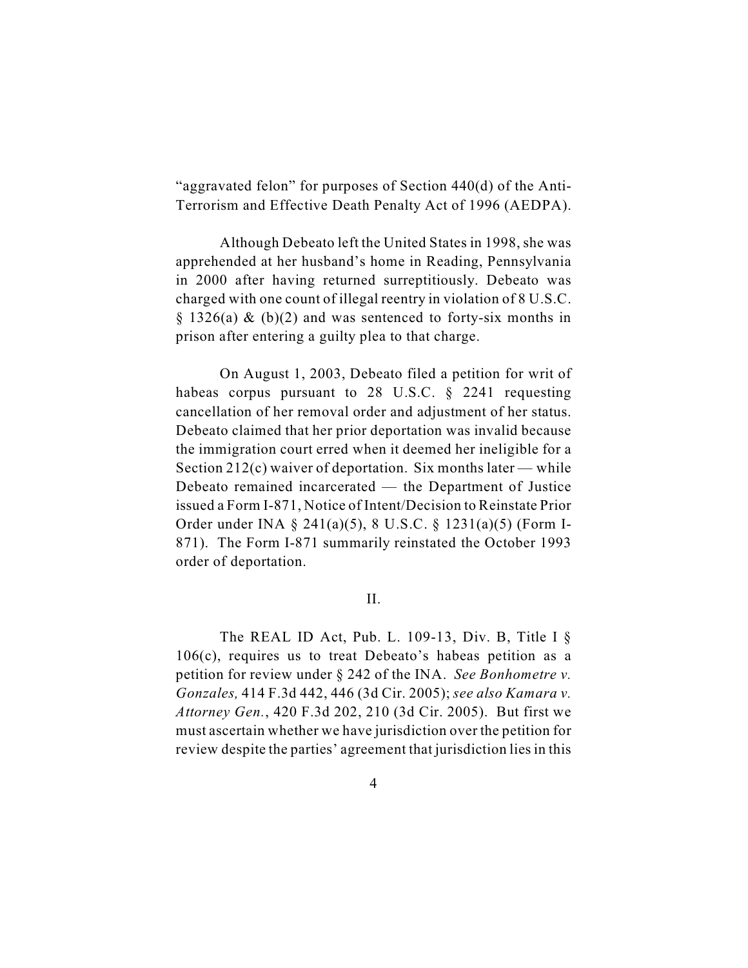"aggravated felon" for purposes of Section 440(d) of the Anti-Terrorism and Effective Death Penalty Act of 1996 (AEDPA).

Although Debeato left the United States in 1998, she was apprehended at her husband's home in Reading, Pennsylvania in 2000 after having returned surreptitiously. Debeato was charged with one count of illegal reentry in violation of 8 U.S.C.  $\S$  1326(a) & (b)(2) and was sentenced to forty-six months in prison after entering a guilty plea to that charge.

On August 1, 2003, Debeato filed a petition for writ of habeas corpus pursuant to 28 U.S.C. § 2241 requesting cancellation of her removal order and adjustment of her status. Debeato claimed that her prior deportation was invalid because the immigration court erred when it deemed her ineligible for a Section 212(c) waiver of deportation. Six months later — while Debeato remained incarcerated — the Department of Justice issued a Form I-871, Notice of Intent/Decision to Reinstate Prior Order under INA § 241(a)(5), 8 U.S.C. § 1231(a)(5) (Form I-871). The Form I-871 summarily reinstated the October 1993 order of deportation.

II.

The REAL ID Act, Pub. L. 109-13, Div. B, Title I  $\S$ 106(c), requires us to treat Debeato's habeas petition as a petition for review under § 242 of the INA. *See Bonhometre v. Gonzales,* 414 F.3d 442, 446 (3d Cir. 2005); *see also Kamara v. Attorney Gen.*, 420 F.3d 202, 210 (3d Cir. 2005). But first we must ascertain whether we have jurisdiction over the petition for review despite the parties' agreement that jurisdiction lies in this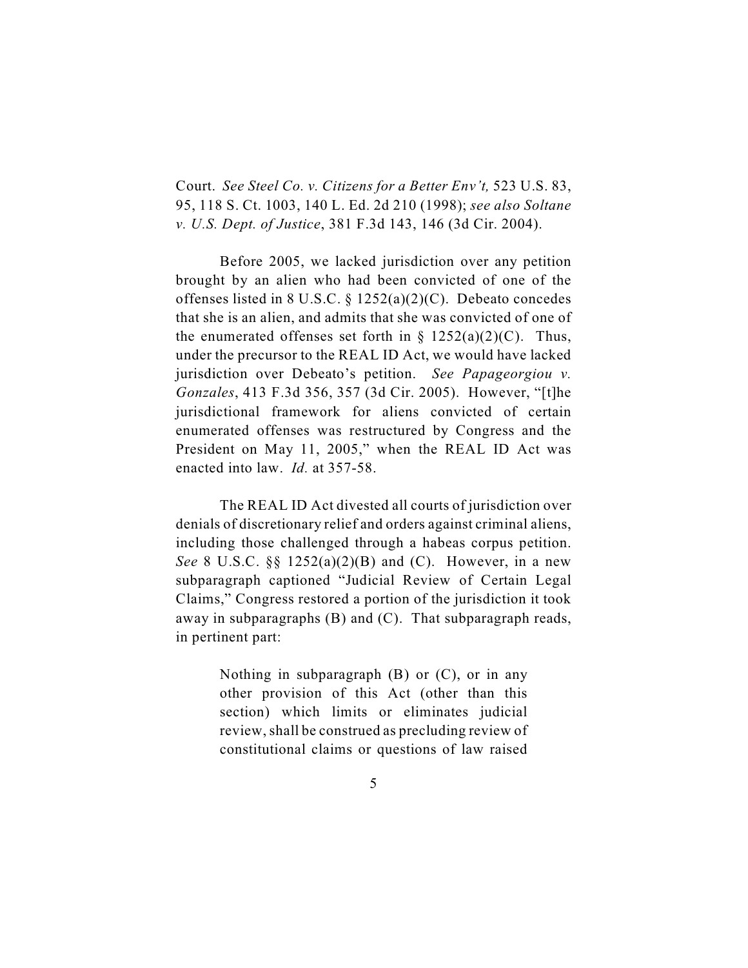Court. *See Steel Co. v. Citizens for a Better Env't,* 523 U.S. 83, 95, 118 S. Ct. 1003, 140 L. Ed. 2d 210 (1998); *see also Soltane v. U.S. Dept. of Justice*, 381 F.3d 143, 146 (3d Cir. 2004).

Before 2005, we lacked jurisdiction over any petition brought by an alien who had been convicted of one of the offenses listed in 8 U.S.C. § 1252(a)(2)(C). Debeato concedes that she is an alien, and admits that she was convicted of one of the enumerated offenses set forth in  $\S$  1252(a)(2)(C). Thus, under the precursor to the REAL ID Act, we would have lacked jurisdiction over Debeato's petition. *See Papageorgiou v. Gonzales*, 413 F.3d 356, 357 (3d Cir. 2005). However, "[t]he jurisdictional framework for aliens convicted of certain enumerated offenses was restructured by Congress and the President on May 11, 2005," when the REAL ID Act was enacted into law. *Id.* at 357-58.

The REAL ID Act divested all courts of jurisdiction over denials of discretionary relief and orders against criminal aliens, including those challenged through a habeas corpus petition. *See* 8 U.S.C. §§ 1252(a)(2)(B) and (C). However, in a new subparagraph captioned "Judicial Review of Certain Legal Claims," Congress restored a portion of the jurisdiction it took away in subparagraphs (B) and (C). That subparagraph reads, in pertinent part:

> Nothing in subparagraph  $(B)$  or  $(C)$ , or in any other provision of this Act (other than this section) which limits or eliminates judicial review, shall be construed as precluding review of constitutional claims or questions of law raised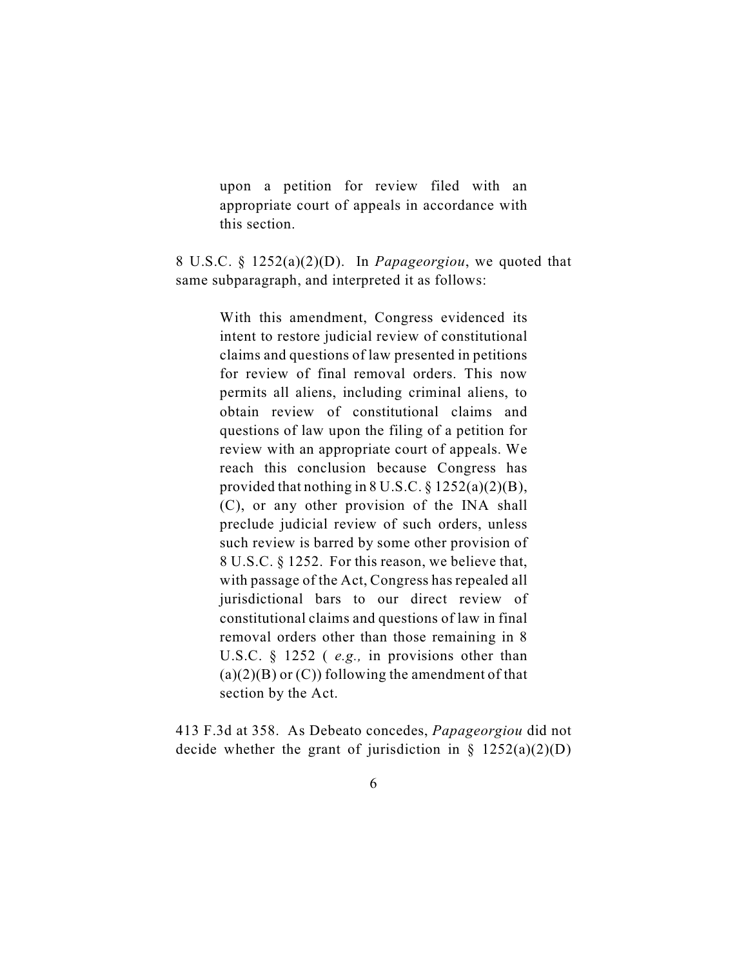upon a petition for review filed with an appropriate court of appeals in accordance with this section.

8 U.S.C. § 1252(a)(2)(D). In *Papageorgiou*, we quoted that same subparagraph, and interpreted it as follows:

> With this amendment, Congress evidenced its intent to restore judicial review of constitutional claims and questions of law presented in petitions for review of final removal orders. This now permits all aliens, including criminal aliens, to obtain review of constitutional claims and questions of law upon the filing of a petition for review with an appropriate court of appeals. We reach this conclusion because Congress has provided that nothing in 8 U.S.C. § 1252(a)(2)(B), (C), or any other provision of the INA shall preclude judicial review of such orders, unless such review is barred by some other provision of 8 U.S.C. § 1252. For this reason, we believe that, with passage of the Act, Congress has repealed all jurisdictional bars to our direct review of constitutional claims and questions of law in final removal orders other than those remaining in 8 U.S.C. § 1252 ( *e.g.,* in provisions other than  $(a)(2)(B)$  or  $(C)$ ) following the amendment of that section by the Act.

413 F.3d at 358. As Debeato concedes, *Papageorgiou* did not decide whether the grant of jurisdiction in §  $1252(a)(2)(D)$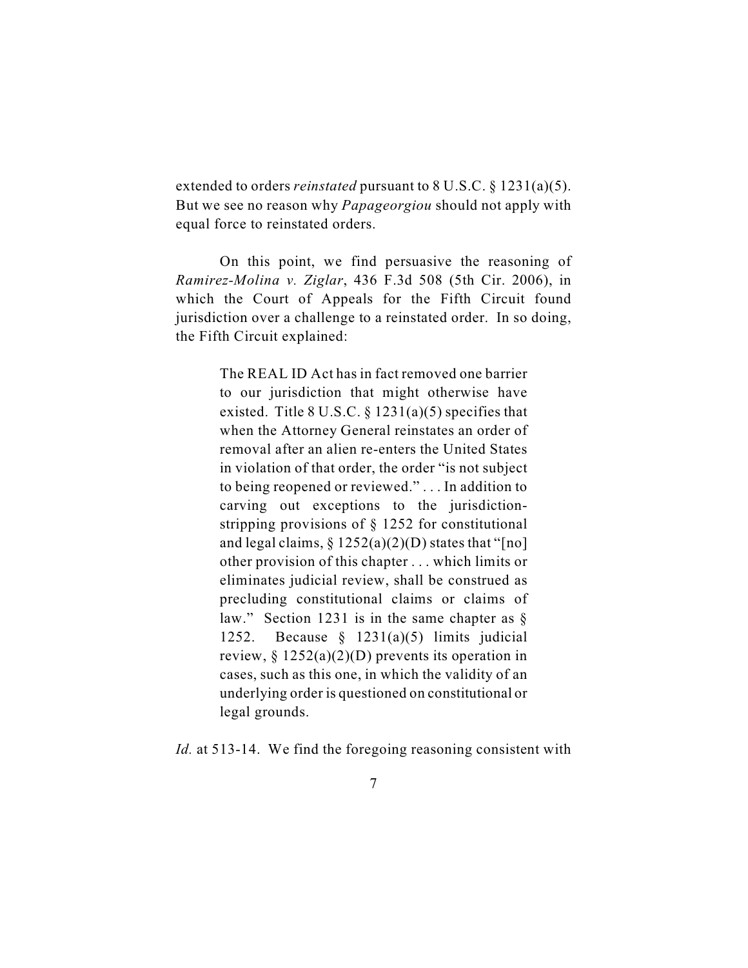extended to orders *reinstated* pursuant to 8 U.S.C. § 1231(a)(5). But we see no reason why *Papageorgiou* should not apply with equal force to reinstated orders.

On this point, we find persuasive the reasoning of *Ramirez-Molina v. Ziglar*, 436 F.3d 508 (5th Cir. 2006), in which the Court of Appeals for the Fifth Circuit found jurisdiction over a challenge to a reinstated order. In so doing, the Fifth Circuit explained:

> The REAL ID Act has in fact removed one barrier to our jurisdiction that might otherwise have existed. Title 8 U.S.C.  $\S$  1231(a)(5) specifies that when the Attorney General reinstates an order of removal after an alien re-enters the United States in violation of that order, the order "is not subject to being reopened or reviewed." . . . In addition to carving out exceptions to the jurisdictionstripping provisions of § 1252 for constitutional and legal claims,  $\S 1252(a)(2)(D)$  states that "[no] other provision of this chapter . . . which limits or eliminates judicial review, shall be construed as precluding constitutional claims or claims of law." Section 1231 is in the same chapter as § 1252. Because § 1231(a)(5) limits judicial review,  $\S 1252(a)(2)(D)$  prevents its operation in cases, such as this one, in which the validity of an underlying order is questioned on constitutional or legal grounds.

*Id.* at 513-14. We find the foregoing reasoning consistent with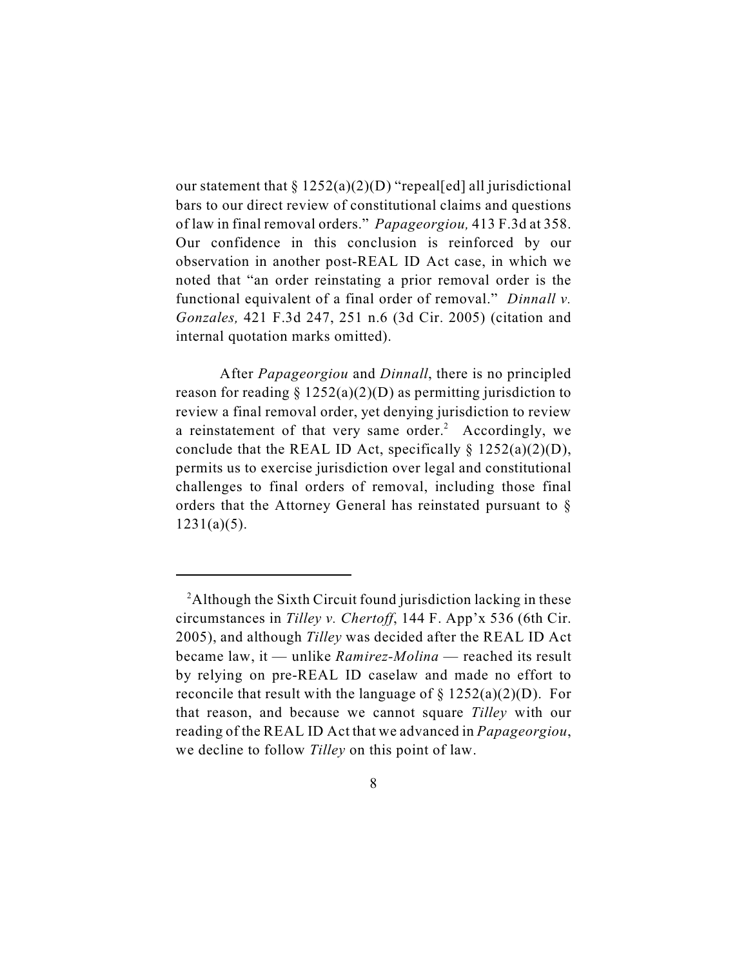our statement that  $\S 1252(a)(2)(D)$  "repeal[ed] all jurisdictional bars to our direct review of constitutional claims and questions of law in final removal orders." *Papageorgiou,* 413 F.3d at 358. Our confidence in this conclusion is reinforced by our observation in another post-REAL ID Act case, in which we noted that "an order reinstating a prior removal order is the functional equivalent of a final order of removal." *Dinnall v. Gonzales,* 421 F.3d 247, 251 n.6 (3d Cir. 2005) (citation and internal quotation marks omitted).

After *Papageorgiou* and *Dinnall*, there is no principled reason for reading  $\S 1252(a)(2)(D)$  as permitting jurisdiction to review a final removal order, yet denying jurisdiction to review a reinstatement of that very same order.<sup>2</sup> Accordingly, we conclude that the REAL ID Act, specifically  $\S$  1252(a)(2)(D), permits us to exercise jurisdiction over legal and constitutional challenges to final orders of removal, including those final orders that the Attorney General has reinstated pursuant to §  $1231(a)(5)$ .

<sup>&</sup>lt;sup>2</sup>Although the Sixth Circuit found jurisdiction lacking in these circumstances in *Tilley v. Chertoff*, 144 F. App'x 536 (6th Cir. 2005), and although *Tilley* was decided after the REAL ID Act became law, it — unlike *Ramirez-Molina* — reached its result by relying on pre-REAL ID caselaw and made no effort to reconcile that result with the language of  $\S 1252(a)(2)(D)$ . For that reason, and because we cannot square *Tilley* with our reading of the REAL ID Act that we advanced in *Papageorgiou*, we decline to follow *Tilley* on this point of law.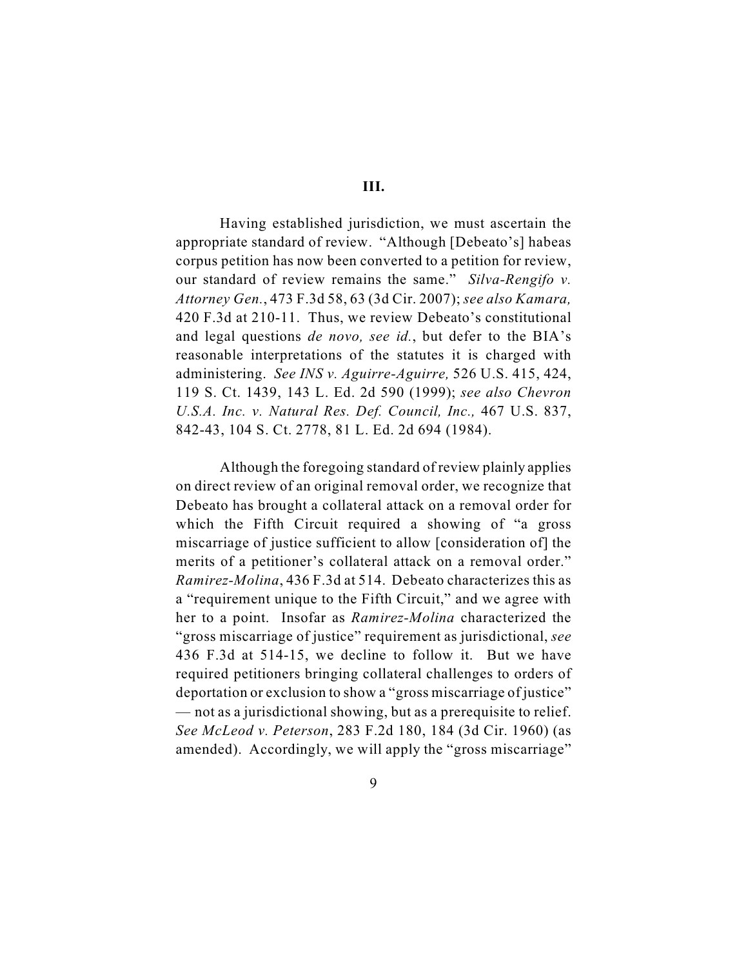**III.**

Having established jurisdiction, we must ascertain the appropriate standard of review. "Although [Debeato's] habeas corpus petition has now been converted to a petition for review, our standard of review remains the same." *Silva-Rengifo v. Attorney Gen.*, 473 F.3d 58, 63 (3d Cir. 2007); *see also Kamara,* 420 F.3d at 210-11. Thus, we review Debeato's constitutional and legal questions *de novo, see id.*, but defer to the BIA's reasonable interpretations of the statutes it is charged with administering. *See INS v. Aguirre-Aguirre,* 526 U.S. 415, 424, 119 S. Ct. 1439, 143 L. Ed. 2d 590 (1999); *see also Chevron U.S.A. Inc. v. Natural Res. Def. Council, Inc.,* 467 U.S. 837, 842-43, 104 S. Ct. 2778, 81 L. Ed. 2d 694 (1984).

Although the foregoing standard of review plainly applies on direct review of an original removal order, we recognize that Debeato has brought a collateral attack on a removal order for which the Fifth Circuit required a showing of "a gross miscarriage of justice sufficient to allow [consideration of] the merits of a petitioner's collateral attack on a removal order." *Ramirez-Molina*, 436 F.3d at 514. Debeato characterizes this as a "requirement unique to the Fifth Circuit," and we agree with her to a point. Insofar as *Ramirez-Molina* characterized the "gross miscarriage of justice" requirement as jurisdictional, *see* 436 F.3d at 514-15, we decline to follow it. But we have required petitioners bringing collateral challenges to orders of deportation or exclusion to show a "gross miscarriage of justice" — not as a jurisdictional showing, but as a prerequisite to relief. *See McLeod v. Peterson*, 283 F.2d 180, 184 (3d Cir. 1960) (as amended). Accordingly, we will apply the "gross miscarriage"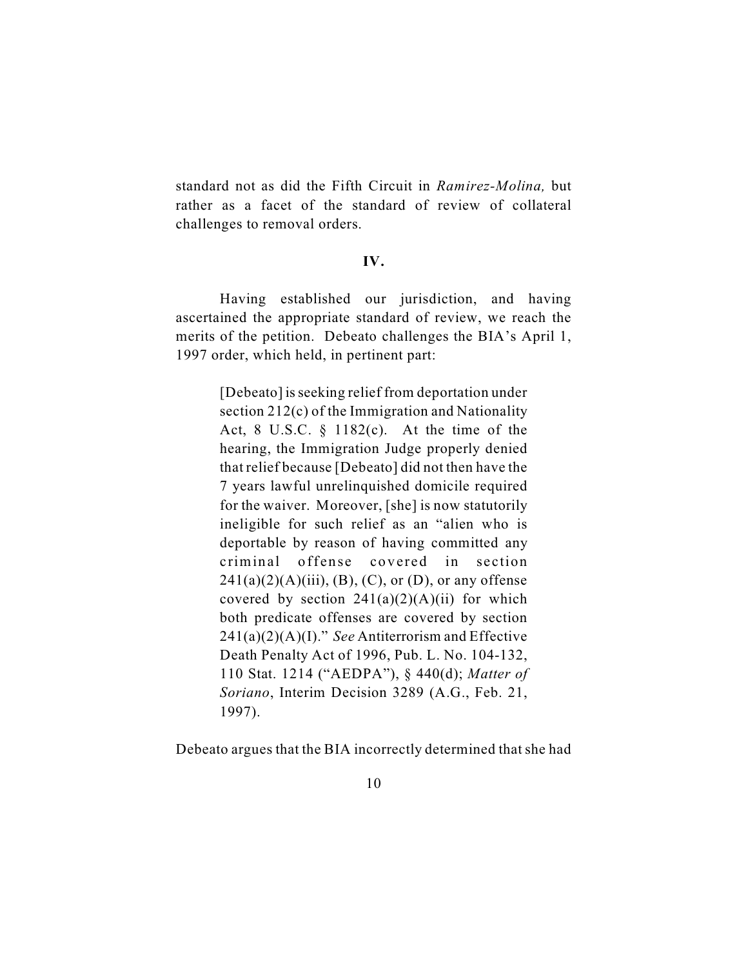standard not as did the Fifth Circuit in *Ramirez-Molina,* but rather as a facet of the standard of review of collateral challenges to removal orders.

#### **IV.**

Having established our jurisdiction, and having ascertained the appropriate standard of review, we reach the merits of the petition. Debeato challenges the BIA's April 1, 1997 order, which held, in pertinent part:

> [Debeato] is seeking relief from deportation under section 212(c) of the Immigration and Nationality Act, 8 U.S.C. § 1182(c). At the time of the hearing, the Immigration Judge properly denied that relief because [Debeato] did not then have the 7 years lawful unrelinquished domicile required for the waiver. Moreover, [she] is now statutorily ineligible for such relief as an "alien who is deportable by reason of having committed any criminal offense covered in section  $241(a)(2)(A)(iii)$ , (B), (C), or (D), or any offense covered by section  $241(a)(2)(A)(ii)$  for which both predicate offenses are covered by section 241(a)(2)(A)(I)." *See* Antiterrorism and Effective Death Penalty Act of 1996, Pub. L. No. 104-132, 110 Stat. 1214 ("AEDPA"), § 440(d); *Matter of Soriano*, Interim Decision 3289 (A.G., Feb. 21, 1997).

Debeato argues that the BIA incorrectly determined that she had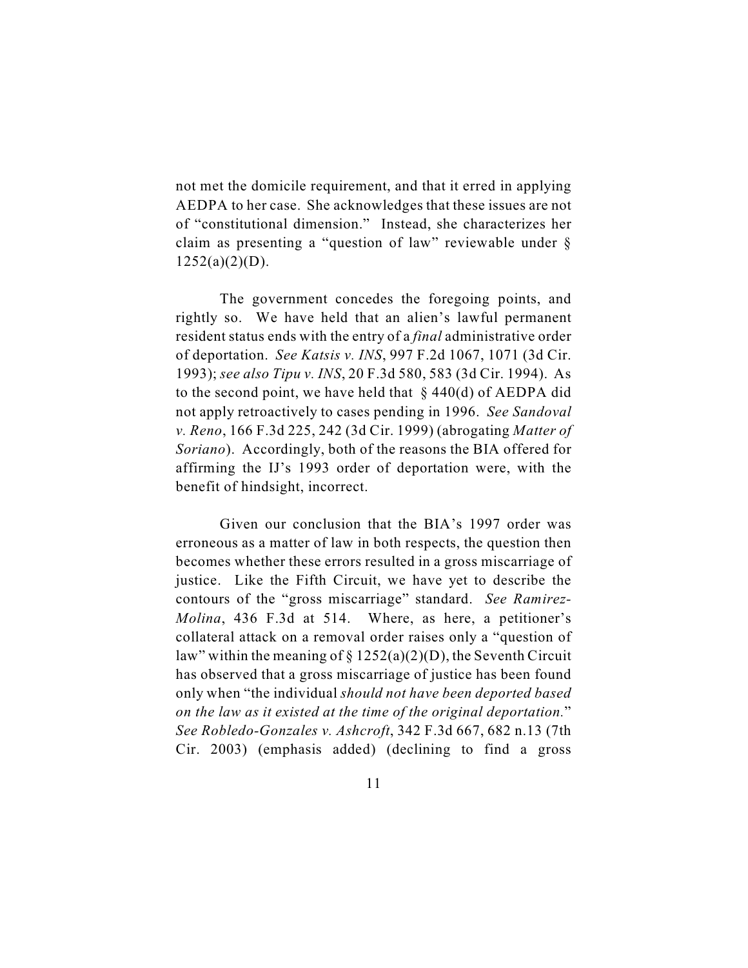not met the domicile requirement, and that it erred in applying AEDPA to her case. She acknowledges that these issues are not of "constitutional dimension." Instead, she characterizes her claim as presenting a "question of law" reviewable under §  $1252(a)(2)(D)$ .

The government concedes the foregoing points, and rightly so. We have held that an alien's lawful permanent resident status ends with the entry of a *final* administrative order of deportation. *See Katsis v. INS*, 997 F.2d 1067, 1071 (3d Cir. 1993); *see also Tipu v. INS*, 20 F.3d 580, 583 (3d Cir. 1994). As to the second point, we have held that  $\S$  440(d) of AEDPA did not apply retroactively to cases pending in 1996. *See Sandoval v. Reno*, 166 F.3d 225, 242 (3d Cir. 1999) (abrogating *Matter of Soriano*). Accordingly, both of the reasons the BIA offered for affirming the IJ's 1993 order of deportation were, with the benefit of hindsight, incorrect.

Given our conclusion that the BIA's 1997 order was erroneous as a matter of law in both respects, the question then becomes whether these errors resulted in a gross miscarriage of justice. Like the Fifth Circuit, we have yet to describe the contours of the "gross miscarriage" standard. *See Ramirez-Molina*, 436 F.3d at 514. Where, as here, a petitioner's collateral attack on a removal order raises only a "question of law" within the meaning of  $\S 1252(a)(2)(D)$ , the Seventh Circuit has observed that a gross miscarriage of justice has been found only when "the individual *should not have been deported based on the law as it existed at the time of the original deportation.*" *See Robledo-Gonzales v. Ashcroft*, 342 F.3d 667, 682 n.13 (7th Cir. 2003) (emphasis added) (declining to find a gross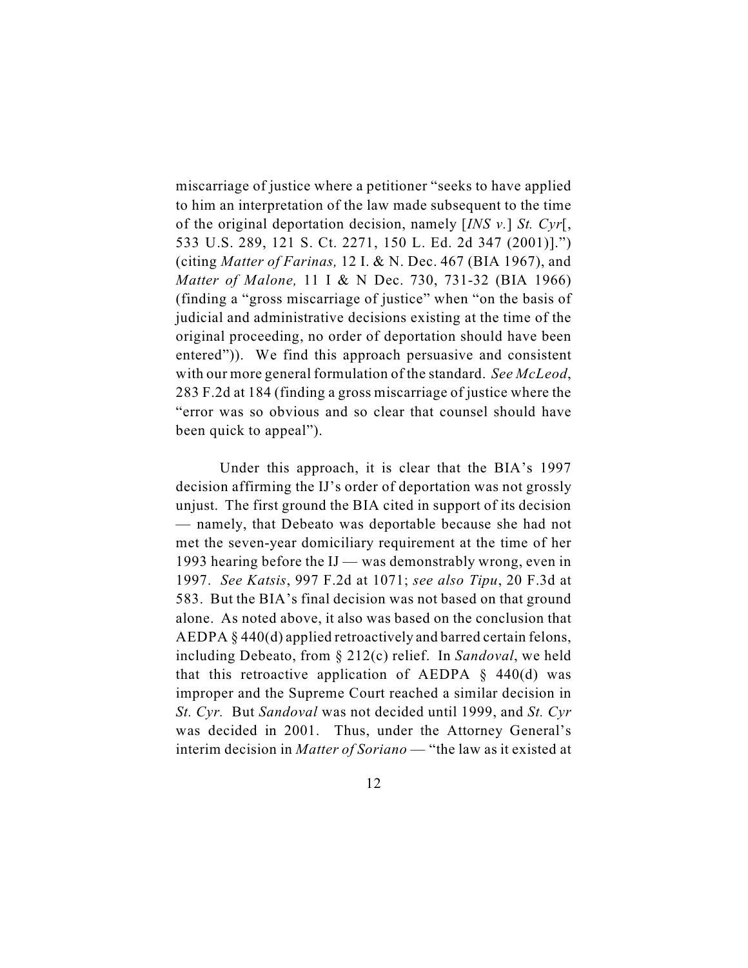miscarriage of justice where a petitioner "seeks to have applied to him an interpretation of the law made subsequent to the time of the original deportation decision, namely [*INS v.*] *St. Cyr*[, 533 U.S. 289, 121 S. Ct. 2271, 150 L. Ed. 2d 347 (2001)].") (citing *Matter of Farinas,* 12 I. & N. Dec. 467 (BIA 1967), and *Matter of Malone,* 11 I & N Dec. 730, 731-32 (BIA 1966) (finding a "gross miscarriage of justice" when "on the basis of judicial and administrative decisions existing at the time of the original proceeding, no order of deportation should have been entered")).We find this approach persuasive and consistent with our more general formulation of the standard. *See McLeod*, 283 F.2d at 184 (finding a gross miscarriage of justice where the "error was so obvious and so clear that counsel should have been quick to appeal").

Under this approach, it is clear that the BIA's 1997 decision affirming the IJ's order of deportation was not grossly unjust. The first ground the BIA cited in support of its decision — namely, that Debeato was deportable because she had not met the seven-year domiciliary requirement at the time of her 1993 hearing before the IJ — was demonstrably wrong, even in 1997. *See Katsis*, 997 F.2d at 1071; *see also Tipu*, 20 F.3d at 583. But the BIA's final decision was not based on that ground alone. As noted above, it also was based on the conclusion that AEDPA § 440(d) applied retroactively and barred certain felons, including Debeato, from § 212(c) relief. In *Sandoval*, we held that this retroactive application of AEDPA  $\S$  440(d) was improper and the Supreme Court reached a similar decision in *St. Cyr.* But *Sandoval* was not decided until 1999, and *St. Cyr* was decided in 2001. Thus, under the Attorney General's interim decision in *Matter of Soriano* — "the law as it existed at